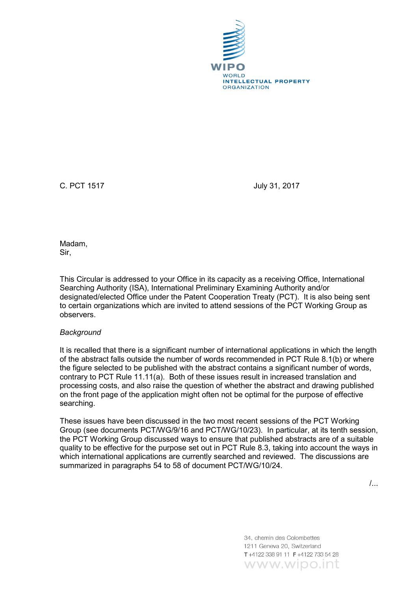

C. PCT 1517 July 31, 2017

Madam, Sir,

This Circular is addressed to your Office in its capacity as a receiving Office, International Searching Authority (ISA), International Preliminary Examining Authority and/or designated/elected Office under the Patent Cooperation Treaty (PCT). It is also being sent to certain organizations which are invited to attend sessions of the PCT Working Group as observers.

## *Background*

It is recalled that there is a significant number of international applications in which the length of the abstract falls outside the number of words recommended in PCT Rule 8.1(b) or where the figure selected to be published with the abstract contains a significant number of words, contrary to PCT Rule 11.11(a). Both of these issues result in increased translation and processing costs, and also raise the question of whether the abstract and drawing published on the front page of the application might often not be optimal for the purpose of effective searching.

These issues have been discussed in the two most recent sessions of the PCT Working Group (see documents PCT/WG/9/16 and PCT/WG/10/23). In particular, at its tenth session, the PCT Working Group discussed ways to ensure that published abstracts are of a suitable quality to be effective for the purpose set out in PCT Rule 8.3, taking into account the ways in which international applications are currently searched and reviewed. The discussions are summarized in paragraphs 54 to 58 of document PCT/WG/10/24.

/...

34, chemin des Colombettes 1211 Geneva 20, Switzerland T+4122 338 91 11 F+4122 733 54 28 www.wipo.int